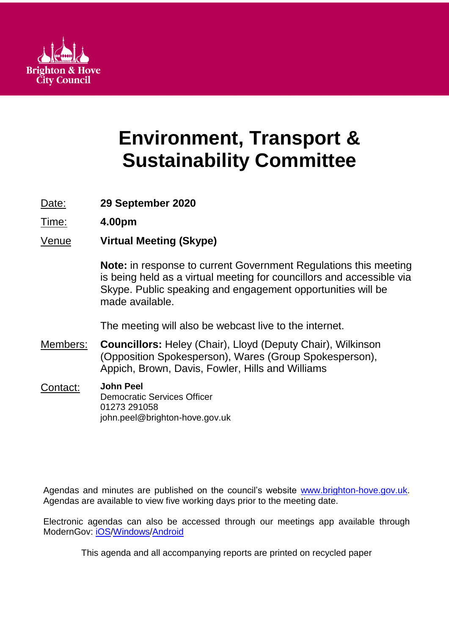

# **Environment, Transport & Sustainability Committee**

Date: **29 September 2020**

Time: **4.00pm**

Venue **Virtual Meeting (Skype)**

**Note:** in response to current Government Regulations this meeting is being held as a virtual meeting for councillors and accessible via Skype. Public speaking and engagement opportunities will be made available.

The meeting will also be webcast live to the internet.

- Members: **Councillors:** Heley (Chair), Lloyd (Deputy Chair), Wilkinson (Opposition Spokesperson), Wares (Group Spokesperson), Appich, Brown, Davis, Fowler, Hills and Williams
- Contact: **John Peel** Democratic Services Officer 01273 291058 john.peel@brighton-hove.gov.uk

Agendas and minutes are published on the council's website [www.brighton-hove.gov.uk.](http://www.brighton-hove.gov.uk/) Agendas are available to view five working days prior to the meeting date.

Electronic agendas can also be accessed through our meetings app available through ModernGov: [iOS](https://play.google.com/store/apps/details?id=uk.co.moderngov.modgov&hl=en_GB)[/Windows/](https://www.microsoft.com/en-gb/p/modgov/9nblggh0c7s7#activetab=pivot:overviewtab)[Android](https://play.google.com/store/apps/details?id=uk.co.moderngov.modgov&hl=en_GB)

This agenda and all accompanying reports are printed on recycled paper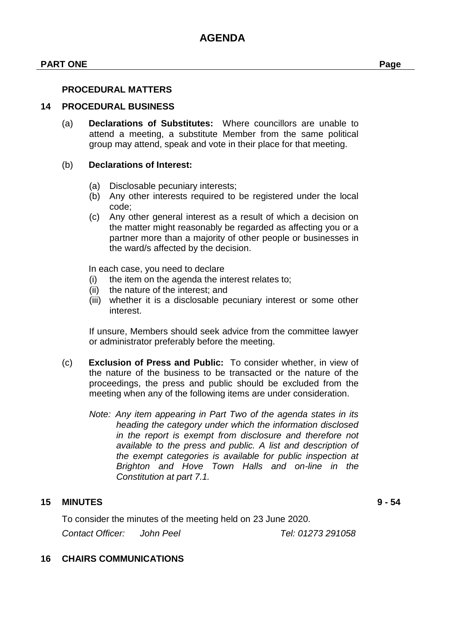## **PART ONE Page**

#### **PROCEDURAL MATTERS**

#### **14 PROCEDURAL BUSINESS**

(a) **Declarations of Substitutes:** Where councillors are unable to attend a meeting, a substitute Member from the same political group may attend, speak and vote in their place for that meeting.

## (b) **Declarations of Interest:**

- (a) Disclosable pecuniary interests;
- (b) Any other interests required to be registered under the local code;
- (c) Any other general interest as a result of which a decision on the matter might reasonably be regarded as affecting you or a partner more than a majority of other people or businesses in the ward/s affected by the decision.

In each case, you need to declare

- (i) the item on the agenda the interest relates to;
- (ii) the nature of the interest; and
- (iii) whether it is a disclosable pecuniary interest or some other interest.

If unsure, Members should seek advice from the committee lawyer or administrator preferably before the meeting.

- (c) **Exclusion of Press and Public:** To consider whether, in view of the nature of the business to be transacted or the nature of the proceedings, the press and public should be excluded from the meeting when any of the following items are under consideration.
	- *Note: Any item appearing in Part Two of the agenda states in its heading the category under which the information disclosed in the report is exempt from disclosure and therefore not available to the press and public. A list and description of the exempt categories is available for public inspection at Brighton and Hove Town Halls and on-line in the Constitution at part 7.1.*

#### **15 MINUTES 9 - 54**

To consider the minutes of the meeting held on 23 June 2020.

*Contact Officer: John Peel Tel: 01273 291058*

## **16 CHAIRS COMMUNICATIONS**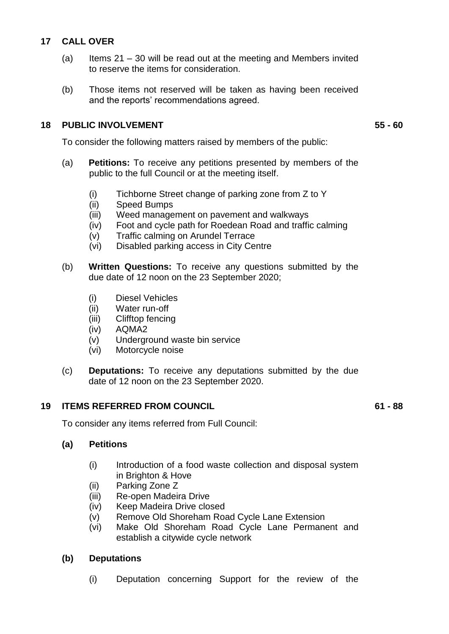## **17 CALL OVER**

- (a) Items  $21 30$  will be read out at the meeting and Members invited to reserve the items for consideration.
- (b) Those items not reserved will be taken as having been received and the reports' recommendations agreed.

## **18 PUBLIC INVOLVEMENT 55 - 60**

To consider the following matters raised by members of the public:

- (a) **Petitions:** To receive any petitions presented by members of the public to the full Council or at the meeting itself.
	- (i) Tichborne Street change of parking zone from Z to Y
	- (ii) Speed Bumps
	- (iii) Weed management on pavement and walkways
	- (iv) Foot and cycle path for Roedean Road and traffic calming
	- (v) Traffic calming on Arundel Terrace
	- (vi) Disabled parking access in City Centre
- (b) **Written Questions:** To receive any questions submitted by the due date of 12 noon on the 23 September 2020;
	- (i) Diesel Vehicles
	- (ii) Water run-off
	- (iii) Clifftop fencing
	- (iv) AQMA2
	- (v) Underground waste bin service
	- (vi) Motorcycle noise
- (c) **Deputations:** To receive any deputations submitted by the due date of 12 noon on the 23 September 2020.

# **19 ITEMS REFERRED FROM COUNCIL 61 - 88**

To consider any items referred from Full Council:

# **(a) Petitions**

- (i) Introduction of a food waste collection and disposal system in Brighton & Hove
- (ii) Parking Zone Z
- (iii) Re-open Madeira Drive
- (iv) Keep Madeira Drive closed
- (v) Remove Old Shoreham Road Cycle Lane Extension
- (vi) Make Old Shoreham Road Cycle Lane Permanent and establish a citywide cycle network

# **(b) Deputations**

(i) Deputation concerning Support for the review of the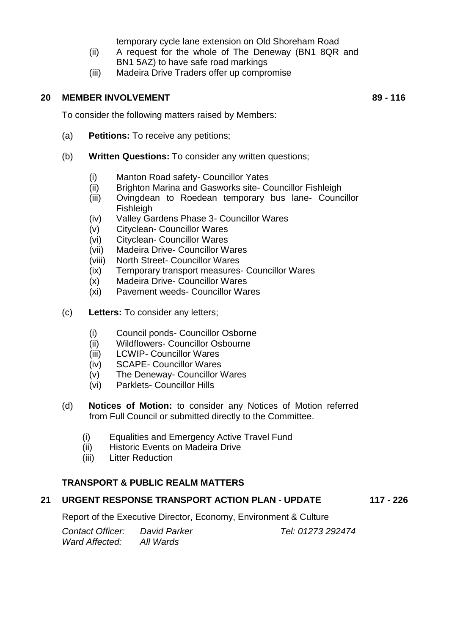temporary cycle lane extension on Old Shoreham Road

- (ii) A request for the whole of The Deneway (BN1 8QR and BN1 5AZ) to have safe road markings
- (iii) Madeira Drive Traders offer up compromise

## **20 MEMBER INVOLVEMENT 89 - 116**

To consider the following matters raised by Members:

- (a) **Petitions:** To receive any petitions;
- (b) **Written Questions:** To consider any written questions;
	- (i) Manton Road safety- Councillor Yates
	- (ii) Brighton Marina and Gasworks site- Councillor Fishleigh
	- (iii) Ovingdean to Roedean temporary bus lane- Councillor Fishleigh
	- (iv) Valley Gardens Phase 3- Councillor Wares
	- (v) Cityclean- Councillor Wares
	- (vi) Cityclean- Councillor Wares
	- (vii) Madeira Drive- Councillor Wares
	- (viii) North Street- Councillor Wares
	- (ix) Temporary transport measures- Councillor Wares
	- (x) Madeira Drive- Councillor Wares
	- (xi) Pavement weeds- Councillor Wares
- (c) **Letters:** To consider any letters;
	- (i) Council ponds- Councillor Osborne
	- (ii) Wildflowers- Councillor Osbourne
	- (iii) LCWIP- Councillor Wares
	- (iv) SCAPE- Councillor Wares
	- (v) The Deneway- Councillor Wares
	- (vi) Parklets- Councillor Hills
- (d) **Notices of Motion:** to consider any Notices of Motion referred from Full Council or submitted directly to the Committee.
	- (i) Equalities and Emergency Active Travel Fund
	- (ii) Historic Events on Madeira Drive
	- (iii) Litter Reduction

# **TRANSPORT & PUBLIC REALM MATTERS**

# **21 URGENT RESPONSE TRANSPORT ACTION PLAN - UPDATE 117 - 226**

Report of the Executive Director, Economy, Environment & Culture

*Contact Officer: David Parker Tel: 01273 292474 Ward Affected: All Wards*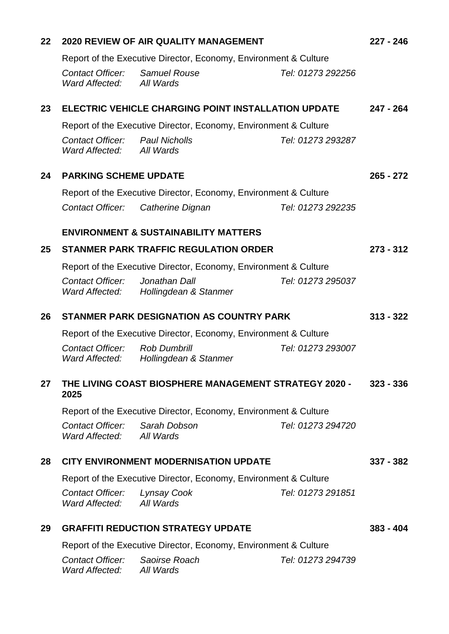| 22 | <b>2020 REVIEW OF AIR QUALITY MANAGEMENT</b>                            |                                              |                   | $227 - 246$ |
|----|-------------------------------------------------------------------------|----------------------------------------------|-------------------|-------------|
|    | Report of the Executive Director, Economy, Environment & Culture        |                                              |                   |             |
|    | <b>Contact Officer:</b><br>Ward Affected: All Wards                     | <b>Samuel Rouse</b>                          | Tel: 01273 292256 |             |
| 23 | <b>ELECTRIC VEHICLE CHARGING POINT INSTALLATION UPDATE</b>              |                                              |                   | $247 - 264$ |
|    | Report of the Executive Director, Economy, Environment & Culture        |                                              |                   |             |
|    | Contact Officer:<br>Ward Affected:                                      | <b>Paul Nicholls</b><br>All Wards            | Tel: 01273 293287 |             |
| 24 | <b>PARKING SCHEME UPDATE</b>                                            |                                              |                   | $265 - 272$ |
|    | Report of the Executive Director, Economy, Environment & Culture        |                                              |                   |             |
|    | <b>Contact Officer:</b>                                                 | Catherine Dignan                             | Tel: 01273 292235 |             |
|    | <b>ENVIRONMENT &amp; SUSTAINABILITY MATTERS</b>                         |                                              |                   |             |
| 25 | <b>STANMER PARK TRAFFIC REGULATION ORDER</b>                            |                                              |                   | $273 - 312$ |
|    | Report of the Executive Director, Economy, Environment & Culture        |                                              |                   |             |
|    | <b>Contact Officer:</b><br>Ward Affected:                               | Jonathan Dall<br>Hollingdean & Stanmer       | Tel: 01273 295037 |             |
| 26 | <b>STANMER PARK DESIGNATION AS COUNTRY PARK</b>                         |                                              |                   | $313 - 322$ |
|    | Report of the Executive Director, Economy, Environment & Culture        |                                              |                   |             |
|    | Contact Officer:<br>Ward Affected:                                      | <b>Rob Dumbrill</b><br>Hollingdean & Stanmer | Tel: 01273 293007 |             |
| 27 | THE LIVING COAST BIOSPHERE MANAGEMENT STRATEGY 2020 - 323 - 336<br>2025 |                                              |                   |             |
|    | Report of the Executive Director, Economy, Environment & Culture        |                                              |                   |             |
|    | Contact Officer: Sarah Dobson<br>Ward Affected:                         | All Wards                                    | Tel: 01273 294720 |             |
| 28 | <b>CITY ENVIRONMENT MODERNISATION UPDATE</b>                            |                                              |                   | $337 - 382$ |
|    | Report of the Executive Director, Economy, Environment & Culture        |                                              |                   |             |
|    | Contact Officer: Lynsay Cook<br>Ward Affected: All Wards                |                                              | Tel: 01273 291851 |             |
| 29 | <b>GRAFFITI REDUCTION STRATEGY UPDATE</b>                               |                                              |                   | $383 - 404$ |
|    | Report of the Executive Director, Economy, Environment & Culture        |                                              |                   |             |
|    | Contact Officer: Saoirse Roach<br>Ward Affected:                        | All Wards                                    | Tel: 01273 294739 |             |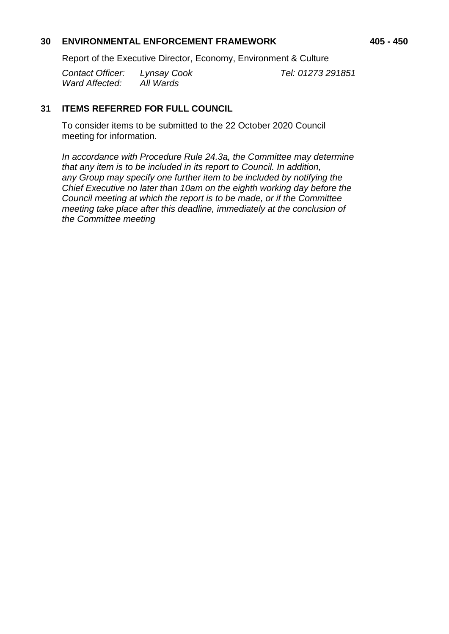## **30 ENVIRONMENTAL ENFORCEMENT FRAMEWORK 405 - 450**

Report of the Executive Director, Economy, Environment & Culture

*Contact Officer: Lynsay Cook Tel: 01273 291851 Ward Affected: All Wards*

# **31 ITEMS REFERRED FOR FULL COUNCIL**

To consider items to be submitted to the 22 October 2020 Council meeting for information.

*In accordance with Procedure Rule 24.3a, the Committee may determine that any item is to be included in its report to Council. In addition, any Group may specify one further item to be included by notifying the Chief Executive no later than 10am on the eighth working day before the Council meeting at which the report is to be made, or if the Committee meeting take place after this deadline, immediately at the conclusion of the Committee meeting*